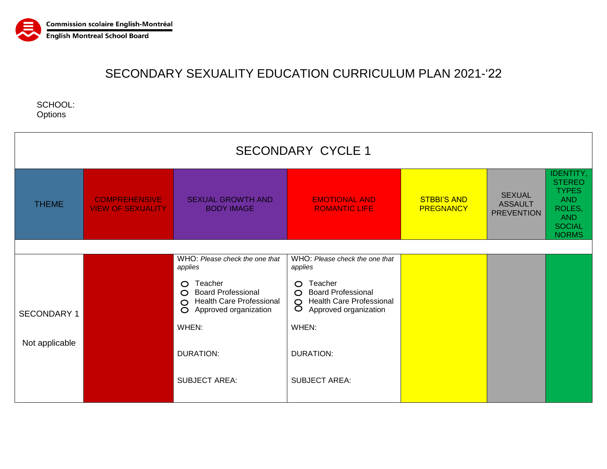

SCHOOL: **Options** 

| <b>SECONDARY CYCLE 1</b> |                                                  |                                                                                                                              |                                                                                                                             |                                        |                                                      |                                                                                                                          |  |  |  |
|--------------------------|--------------------------------------------------|------------------------------------------------------------------------------------------------------------------------------|-----------------------------------------------------------------------------------------------------------------------------|----------------------------------------|------------------------------------------------------|--------------------------------------------------------------------------------------------------------------------------|--|--|--|
| <b>THEME</b>             | <b>COMPREHENSIVE</b><br><b>VIEW OF SEXUALITY</b> | <b>SEXUAL GROWTH AND</b><br><b>BODY IMAGE</b>                                                                                | <b>EMOTIONAL AND</b><br><b>ROMANTIC LIFE</b>                                                                                | <b>STBBI'S AND</b><br><b>PREGNANCY</b> | <b>SEXUAL</b><br><b>ASSAULT</b><br><b>PREVENTION</b> | <b>IDENTITY,</b><br><b>STEREO</b><br><b>TYPES</b><br><b>AND</b><br>ROLES,<br><b>AND</b><br><b>SOCIAL</b><br><b>NORMS</b> |  |  |  |
|                          |                                                  |                                                                                                                              |                                                                                                                             |                                        |                                                      |                                                                                                                          |  |  |  |
|                          |                                                  | WHO: Please check the one that<br>applies                                                                                    | WHO: Please check the one that<br>applies                                                                                   |                                        |                                                      |                                                                                                                          |  |  |  |
| <b>SECONDARY 1</b>       |                                                  | Teacher<br>$\circ$<br>O Board Professional<br><b>Health Care Professional</b><br>$\circ$<br>Approved organization<br>$\circ$ | Teacher<br>$\circ$<br><b>Board Professional</b><br>$\circ$<br><b>Health Care Professional</b><br>8<br>Approved organization |                                        |                                                      |                                                                                                                          |  |  |  |
|                          |                                                  | WHEN:                                                                                                                        | WHEN:                                                                                                                       |                                        |                                                      |                                                                                                                          |  |  |  |
| Not applicable           |                                                  | <b>DURATION:</b>                                                                                                             | <b>DURATION:</b>                                                                                                            |                                        |                                                      |                                                                                                                          |  |  |  |
|                          |                                                  | <b>SUBJECT AREA:</b>                                                                                                         | <b>SUBJECT AREA:</b>                                                                                                        |                                        |                                                      |                                                                                                                          |  |  |  |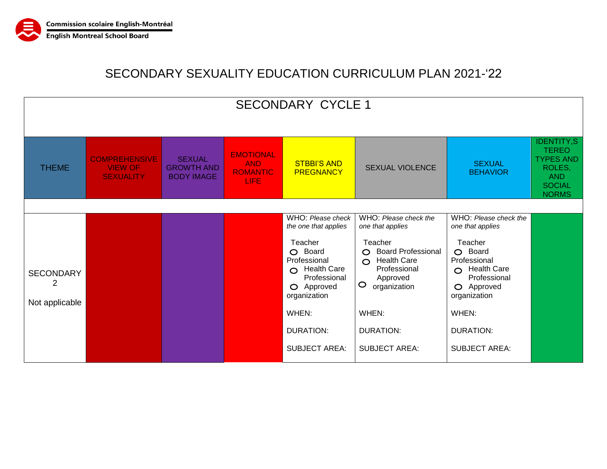

| <b>SECONDARY CYCLE 1</b>                |                                                            |                                                         |                                                                  |                                                                                                                                                                                                           |                                                                                                                                                                                                                                           |                                                                                                                                                                                                            |                                                                                                                |  |
|-----------------------------------------|------------------------------------------------------------|---------------------------------------------------------|------------------------------------------------------------------|-----------------------------------------------------------------------------------------------------------------------------------------------------------------------------------------------------------|-------------------------------------------------------------------------------------------------------------------------------------------------------------------------------------------------------------------------------------------|------------------------------------------------------------------------------------------------------------------------------------------------------------------------------------------------------------|----------------------------------------------------------------------------------------------------------------|--|
| <b>THEME</b>                            | <b>COMPREHENSIVE</b><br><b>VIEW OF</b><br><b>SEXUALITY</b> | <b>SEXUAL</b><br><b>GROWTH AND</b><br><b>BODY IMAGE</b> | <b>EMOTIONAL</b><br><b>AND</b><br><b>ROMANTIC</b><br><b>LIFE</b> | <b>STBBI'S AND</b><br><b>PREGNANCY</b>                                                                                                                                                                    | <b>SEXUAL VIOLENCE</b>                                                                                                                                                                                                                    | <b>SEXUAL</b><br><b>BEHAVIOR</b>                                                                                                                                                                           | <b>IDENTITY,S</b><br><b>TEREO</b><br><b>TYPES AND</b><br>ROLES,<br><b>AND</b><br><b>SOCIAL</b><br><b>NORMS</b> |  |
| <b>SECONDARY</b><br>2<br>Not applicable |                                                            |                                                         |                                                                  | WHO: Please check<br>the one that applies<br>Teacher<br>O Board<br>Professional<br>$\circ$ Health Care<br>Professional<br>O Approved<br>organization<br>WHEN:<br><b>DURATION:</b><br><b>SUBJECT AREA:</b> | WHO: Please check the<br>one that applies<br>Teacher<br><b>Board Professional</b><br>$\circ$<br><b>Health Care</b><br>$\circ$<br>Professional<br>Approved<br>$\circ$<br>organization<br>WHEN:<br><b>DURATION:</b><br><b>SUBJECT AREA:</b> | WHO: Please check the<br>one that applies<br>Teacher<br>O Board<br>Professional<br>$\Omega$ Health Care<br>Professional<br>O Approved<br>organization<br>WHEN:<br><b>DURATION:</b><br><b>SUBJECT AREA:</b> |                                                                                                                |  |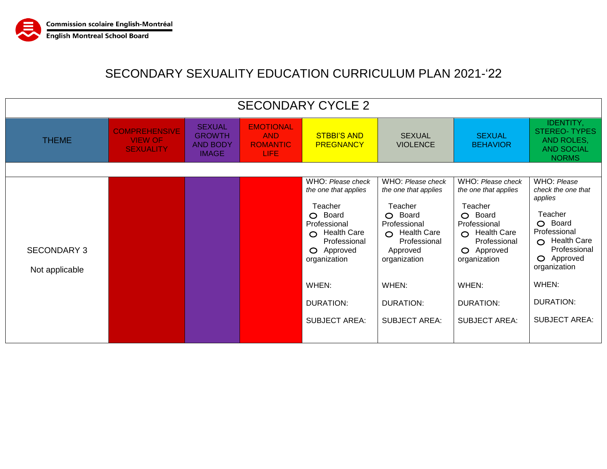

| <b>SECONDARY CYCLE 2</b>             |                                                            |                                                                   |                                                                  |                                                                                                                                                                                                                       |                                                                                                                                                                                                   |                                                                                                                                                                                              |                                                                                                                                                                                                          |  |
|--------------------------------------|------------------------------------------------------------|-------------------------------------------------------------------|------------------------------------------------------------------|-----------------------------------------------------------------------------------------------------------------------------------------------------------------------------------------------------------------------|---------------------------------------------------------------------------------------------------------------------------------------------------------------------------------------------------|----------------------------------------------------------------------------------------------------------------------------------------------------------------------------------------------|----------------------------------------------------------------------------------------------------------------------------------------------------------------------------------------------------------|--|
| <b>THEME</b>                         | <b>COMPREHENSIVE</b><br><b>VIEW OF</b><br><b>SEXUALITY</b> | <b>SEXUAL</b><br><b>GROWTH</b><br><b>AND BODY</b><br><b>IMAGE</b> | <b>EMOTIONAL</b><br><b>AND</b><br><b>ROMANTIC</b><br><b>LIFE</b> | <b>STBBI'S AND</b><br><b>PREGNANCY</b>                                                                                                                                                                                | <b>SEXUAL</b><br><b>VIOLENCE</b>                                                                                                                                                                  | <b>SEXUAL</b><br><b>BEHAVIOR</b>                                                                                                                                                             | IDENTITY,<br><b>STEREO-TYPES</b><br>AND ROLES,<br><b>AND SOCIAL</b><br><b>NORMS</b>                                                                                                                      |  |
| <b>SECONDARY 3</b><br>Not applicable |                                                            |                                                                   |                                                                  | WHO: Please check<br>the one that applies<br>Teacher<br>O Board<br>Professional<br><b>Health Care</b><br>$\bigcap$<br>Professional<br>O Approved<br>organization<br>WHEN:<br><b>DURATION:</b><br><b>SUBJECT AREA:</b> | WHO: Please check<br>the one that applies<br>Teacher<br>O Board<br>Professional<br>O Health Care<br>Professional<br>Approved<br>organization<br>WHEN:<br><b>DURATION:</b><br><b>SUBJECT AREA:</b> | WHO: Please check<br>the one that applies<br>Teacher<br>O Board<br>Professional<br>O Health Care<br>Professional<br>O Approved<br>organization<br>WHEN:<br>DURATION:<br><b>SUBJECT AREA:</b> | WHO: Please<br>check the one that<br>applies<br>Teacher<br>O Board<br>Professional<br>$\bigcirc$ Health Care<br>Professional<br>O Approved<br>organization<br>WHEN:<br>DURATION:<br><b>SUBJECT AREA:</b> |  |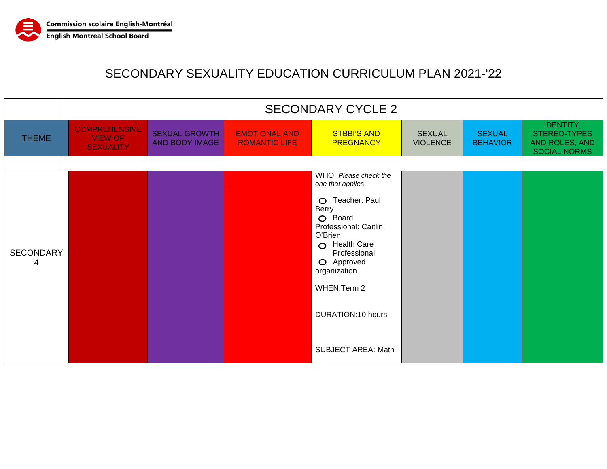

|                       | <b>SECONDARY CYCLE 2</b>                                   |                                        |                                              |                                                                                                                                                                                                                                                                                |                                  |                                  |                                                                    |  |
|-----------------------|------------------------------------------------------------|----------------------------------------|----------------------------------------------|--------------------------------------------------------------------------------------------------------------------------------------------------------------------------------------------------------------------------------------------------------------------------------|----------------------------------|----------------------------------|--------------------------------------------------------------------|--|
| <b>THEME</b>          | <b>COMPREHENSIVE</b><br><b>VIEW OF</b><br><b>SEXUALITY</b> | <b>SEXUAL GROWTH</b><br>AND BODY IMAGE | <b>EMOTIONAL AND</b><br><b>ROMANTIC LIFE</b> | <b>STBBI'S AND</b><br><b>PREGNANCY</b>                                                                                                                                                                                                                                         | <b>SEXUAL</b><br><b>VIOLENCE</b> | <b>SEXUAL</b><br><b>BEHAVIOR</b> | IDENTITY,<br>STEREO-TYPES<br>AND ROLES, AND<br><b>SOCIAL NORMS</b> |  |
|                       |                                                            |                                        |                                              |                                                                                                                                                                                                                                                                                |                                  |                                  |                                                                    |  |
| <b>SECONDARY</b><br>4 |                                                            |                                        |                                              | WHO: Please check the<br>one that applies<br>Teacher: Paul<br>$\circ$<br>Berry<br>O Board<br>Professional: Caitlin<br>O'Brien<br><b>Health Care</b><br>$\circ$<br>Professional<br>O Approved<br>organization<br>WHEN: Term 2<br>DURATION:10 hours<br><b>SUBJECT AREA: Math</b> |                                  |                                  |                                                                    |  |